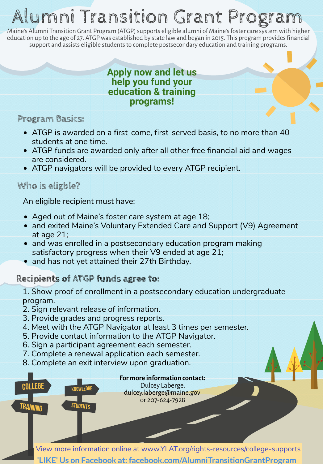# Alumni Transition Grant Program

Maine's Alumni Transition Grant Program (ATGP) supports eligible alumni of Maine's foster care system with higher education up to the age of 27. ATGP was established by state law and began in 2015. This program provides financial support and assists eligible students to complete postsecondary education and training programs.

#### **Apply now and let us help you fund your education & training programs!**

#### **Program Basics:**

- ATGP is awarded on a first-come, first-served basis, to no more than 40 students at one time.
- ATGP funds are awarded only after all other free financial aid and wages are considered.
- ATGP navigators will be provided to every ATGP recipient.

#### **Who is eligble?**

An eligible recipient must have:

- Aged out of Maine's foster care system at age 18;
- and exited Maine's Voluntary Extended Care and Support (V9) Agreement at age 21;
- and was enrolled in a postsecondary education program making satisfactory progress when their V9 ended at age 21;
- and has not yet attained their 27th Birthday.

### **Recipients of ATGP funds agree to:**

1. Show proof of enrollment in a postsecondary education undergraduate program.

- 2. Sign relevant release of information.
- 3. Provide grades and progress reports.
- 4. Meet with the ATGP Navigator at least 3 times per semester.
- 5. Provide contact information to the ATGP Navigator.
- 6. Sign a participant agreement each semester.
- 7. Complete a renewal application each semester.
- 8. Complete an exit interview upon graduation.